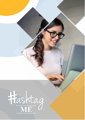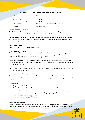# **THE PROTECTION OF PERSONAL INFORMATION ACT**

| Policy:                | <b>POPIA</b>                                  |
|------------------------|-----------------------------------------------|
| Previous update        | None                                          |
| <b>Effective Date:</b> | May 2021                                      |
| Scheduled Review Date: | May 2021                                      |
| Authorized by:         | Director, General Manager and HR Practitioner |
| Custodian              | <b>HR Practitioner</b>                        |
|                        |                                               |

# **CUSTOMER PRIVACY NOTICE**

This Notice explains how we obtain, use and disclose your personal information, in accordance with the requirements of the Protection of Personal Information Act ("POPIA").

At Hashtagme (and including this website, POPIAct-Compliance) we are committed to protecting your privacy and to ensure that your personal information is collected and used properly, lawfully and transparently.

# **About the Company**

Hashtagme is a fully service marketing agency.

# **The information we collect**

We collect and process your personal information mainly to contact you for the purposes of understanding your requirements and delivering services accordingly. For this purpose, we will collect contact details including your name and organisation.

We collect information directly from you where you provide us with your personal details. Where possible, we will inform you what information you are required to provide to us and what information is optional.

Website usage information may be collected using "cookies" which allows us to collect standard internet visitor usage information.

# **How we use your information**

We will use your personal information only for the purposes for which it was collected and agreed with you. In addition, where necessary your information may be retained for legal or research purposes.

For example:

- To gather contact information;
- To confirm and verify your identity or to verify that you are an authorised user for security purposes;
- For the detection and prevention of fraud, crime, money laundering or other malpractice;
- To conduct market or customer satisfaction research or for statistical analysis;
- For audit and record keeping purposes;
- In connection with legal proceedings.

# **Disclosure of information**

We may disclose your personal information to our service providers who are involved in the delivery of products or services to you. We have agreements in place to ensure that they comply with the privacy requirements as required by the Protection of Personal Information Act.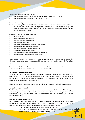We may also disclose your information:

- Where we have a duty or a right to disclose in terms of law or industry codes;
- Where we believe it is necessary to protect our rights.

#### **Information Security**

We are legally obliged to provide adequate protection for the personal information we hold and to stop unauthorized access and use of personal information. We will, on an on-going basis, continue to review our security controls and related processes to ensure that your personal information remains secure.

Our security policies and procedures cover:

- Physical security;
- Computer and network security;
- Access to personal information;
- Secure communications;
- Security in contracting out activities or functions;
- Retention and disposal of information;
- Acceptable usage of personal information;
- Governance and regulatory issues;
- Monitoring access and usage of private information;
- Investigating and reacting to security incidents.

When we contract with third parties, we impose appropriate security, privacy and confidentiality obligations on them to ensure that personal information that we remain responsible for, is kept secure.

We will ensure that anyone to whom we pass your personal information agrees to treat your information with the same level of protection as we are obliged to.

## **Your Rights: Access to information**

You have the right to request a copy of the personal information we hold about you. To do this, simply contact us at the numbers/addresses as provided on our website and specify what information you require. We will need a copy of your ID document to confirm your identity before providing details of your personal information.

Please note that any such access request may be subject to a payment of a legally allowable fee.

## **Correction of your information**

You have the right to ask us to update, correct or delete your personal information. We will require a copy of your ID document to confirm your identity before making changes to personal information we may hold about you. We would appreciate it if you would keep your personal information accurate.

## **Definition of personal information**

•

According to the Act ''personal information'' means information relating to an identifiable, living, natural person, and where it is applicable, an identifiable, existing juristic person. Further to the POPI Act, Hashtagme also includes the following items as personal information:

- All addresses including residential, postal and email addresses.
- Change of name for which we require copies of the marriage certificate or official change of name document issued by the state department.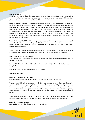#### **How to contact us**

If you have any queries about this notice; you need further information about our privacy practices; wish to withdraw consent; exercise preferences or access or correct your personal information, please contact us at the numbers/addresses listed on our website.

Compliance to the Protection of Personal Information Act (POPIA), also known as the POPI Act, will be mandatory for most organisations in South Africa. As the Information Regulator develops the POPI Regulations further, so the dates and requirments will become clearer. See the latest status from the Information Regulator. This does not mean that organisations should wait until then. The European Union has developed the General Data Protection Regulations (GDPR) and are in the process of implementation. The Information Regulator is likely to follow similar principles and regulations. Until the POPI Act and Regulations are fully in place, following the GDPR will get you moving in the right direction.

Whilst the focus of the POPI Act is on compliance, our approach is to implement compliance in such a way that it delivers business value, so that it does not become a cost centre, or overhead, but rather allows for improvements in efficiencies and effectiveness, done in such a way as to meet the compliance requirements.

The site contains useful guidance and implementation tools to equip you to be POPI Act compliant. It will evolve over time as the Regulations are published. It will contain information about:

#### **Understanding the POPI Act (POPIA)**

This morning (22nd June 2020) the Presidency announced dates for compliance to POPIA. The dates are as follows:

Sections 2 to 38; sections 55 to 109; section 111; and section 114 (1), (2) and (3) shall commence on 1 July 2020.

Sections 110 and 114(4) shall commence on 30 June 2021.

#### **What does this mean:**

.

.

#### **Applicable immediately: 1 July 2020:**

Sections 2 to 38; sections 55 to 109; section 111; and section 114 (1), (2) and (3).

The sections which will commence on 1 July 2020 are essential parts of the Act and comprise sections which pertain to, amongst others, the conditions for the lawful processing of personal information; the regulation of the processing of special personal information; Codes of Conduct issued by the Information Regulator; procedures for dealing with complaints; provisions regulating direct marketing by means of unsolicited electronic communication, and general enforcement of the Act

This is the main body of the Act, and although Section 114 (1) (see below) gives a year, in principle, the time to act is now, and all organisations need to become compliant as soon as possible.

#### **Applicable from 30 June 2021**

Sections 110 and 114(4) shall commence on 30 June 2021.